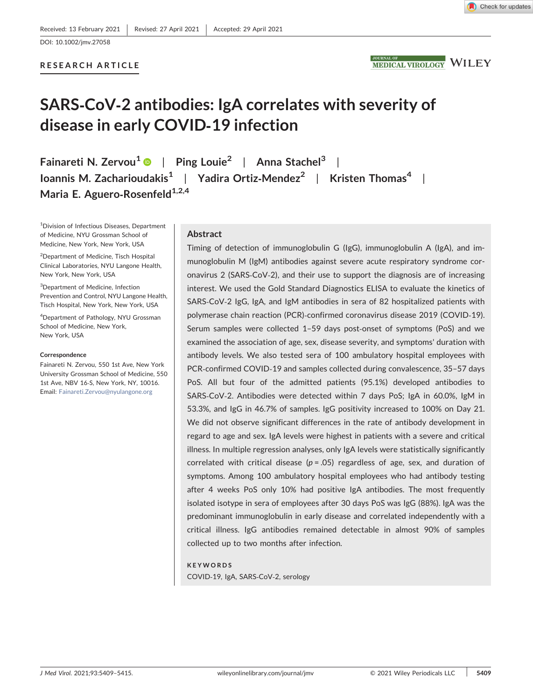## RESEARCH ARTICLE



# SARS‐CoV‐2 antibodies: IgA correlates with severity of disease in early COVID‐19 infection

Fainareti N. Zervou<sup>[1](http://orcid.org/0000-0002-6192-7403)</sup>  $\bullet$  | Ping Louie<sup>2</sup> | Anna Stachel<sup>3</sup> | Ioannis M. Zacharioudakis<sup>1</sup> | Yadira Ortiz-Mendez<sup>2</sup> | Kristen Thomas<sup>4</sup> | Maria E. Aguero-Rosenfeld<sup>1,2,4</sup>

1 Division of Infectious Diseases, Department of Medicine, NYU Grossman School of Medicine, New York, New York, USA

2 Department of Medicine, Tisch Hospital Clinical Laboratories, NYU Langone Health, New York, New York, USA

3 Department of Medicine, Infection Prevention and Control, NYU Langone Health, Tisch Hospital, New York, New York, USA

4 Department of Pathology, NYU Grossman School of Medicine, New York, New York, USA

#### **Correspondence**

Fainareti N. Zervou, 550 1st Ave, New York University Grossman School of Medicine, 550 1st Ave, NBV 16‐S, New York, NY, 10016. Email: [Fainareti.Zervou@nyulangone.org](mailto:Fainareti.Zervou@nyulangone.org)

## Abstract

Timing of detection of immunoglobulin G (IgG), immunoglobulin A (IgA), and immunoglobulin M (IgM) antibodies against severe acute respiratory syndrome coronavirus 2 (SARS‐CoV‐2), and their use to support the diagnosis are of increasing interest. We used the Gold Standard Diagnostics ELISA to evaluate the kinetics of SARS‐CoV‐2 IgG, IgA, and IgM antibodies in sera of 82 hospitalized patients with polymerase chain reaction (PCR)‐confirmed coronavirus disease 2019 (COVID‐19). Serum samples were collected 1–59 days post‐onset of symptoms (PoS) and we examined the association of age, sex, disease severity, and symptoms' duration with antibody levels. We also tested sera of 100 ambulatory hospital employees with PCR‐confirmed COVID‐19 and samples collected during convalescence, 35–57 days PoS. All but four of the admitted patients (95.1%) developed antibodies to SARS‐CoV‐2. Antibodies were detected within 7 days PoS; IgA in 60.0%, IgM in 53.3%, and IgG in 46.7% of samples. IgG positivity increased to 100% on Day 21. We did not observe significant differences in the rate of antibody development in regard to age and sex. IgA levels were highest in patients with a severe and critical illness. In multiple regression analyses, only IgA levels were statistically significantly correlated with critical disease ( $p = .05$ ) regardless of age, sex, and duration of symptoms. Among 100 ambulatory hospital employees who had antibody testing after 4 weeks PoS only 10% had positive IgA antibodies. The most frequently isolated isotype in sera of employees after 30 days PoS was IgG (88%). IgA was the predominant immunoglobulin in early disease and correlated independently with a critical illness. IgG antibodies remained detectable in almost 90% of samples collected up to two months after infection.

#### KEYWORDS

COVID‐19, IgA, SARS‐CoV‐2, serology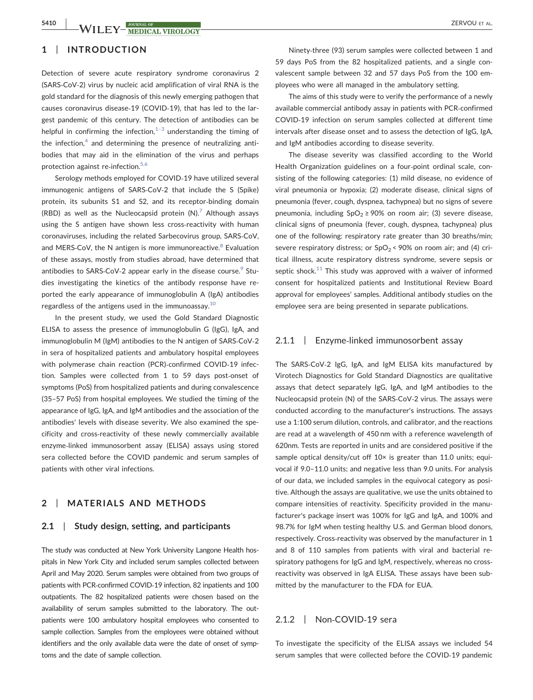# 1 | INTRODUCTION

Detection of severe acute respiratory syndrome coronavirus 2 (SARS‐CoV‐2) virus by nucleic acid amplification of viral RNA is the gold standard for the diagnosis of this newly emerging pathogen that causes coronavirus disease‐19 (COVID‐19), that has led to the largest pandemic of this century. The detection of antibodies can be helpful in confirming the infection, $1-3$  $1-3$  understanding the timing of the infection, $4$  and determining the presence of neutralizing antibodies that may aid in the elimination of the virus and perhaps protection against re-infection.<sup>[5,6](#page-6-2)</sup>

Serology methods employed for COVID‐19 have utilized several immunogenic antigens of SARS‐CoV‐2 that include the S (Spike) protein, its subunits S1 and S2, and its receptor-binding domain (RBD) as well as the Nucleocapsid protein  $(N)$ .<sup>[7](#page-6-3)</sup> Although assays using the S antigen have shown less cross-reactivity with human coronaviruses, including the related Sarbecovirus group, SARS‐CoV, and MERS-CoV, the N antigen is more immunoreactive.<sup>[8](#page-6-4)</sup> Evaluation of these assays, mostly from studies abroad, have determined that antibodies to SARS-CoV-2 appear early in the disease course.<sup>[9](#page-6-5)</sup> Studies investigating the kinetics of the antibody response have reported the early appearance of immunoglobulin A (IgA) antibodies regardless of the antigens used in the immunoassay. $10$ 

In the present study, we used the Gold Standard Diagnostic ELISA to assess the presence of immunoglobulin G (IgG), IgA, and immunoglobulin M (IgM) antibodies to the N antigen of SARS‐CoV‐2 in sera of hospitalized patients and ambulatory hospital employees with polymerase chain reaction (PCR)-confirmed COVID-19 infection. Samples were collected from 1 to 59 days post‐onset of symptoms (PoS) from hospitalized patients and during convalescence (35–57 PoS) from hospital employees. We studied the timing of the appearance of IgG, IgA, and IgM antibodies and the association of the antibodies' levels with disease severity. We also examined the specificity and cross‐reactivity of these newly commercially available enzyme‐linked immunosorbent assay (ELISA) assays using stored sera collected before the COVID pandemic and serum samples of patients with other viral infections.

## 2 | MATERIALS AND METHODS

#### 2.1 | Study design, setting, and participants

The study was conducted at New York University Langone Health hospitals in New York City and included serum samples collected between April and May 2020. Serum samples were obtained from two groups of patients with PCR‐confirmed COVID‐19 infection, 82 inpatients and 100 outpatients. The 82 hospitalized patients were chosen based on the availability of serum samples submitted to the laboratory. The outpatients were 100 ambulatory hospital employees who consented to sample collection. Samples from the employees were obtained without identifiers and the only available data were the date of onset of symptoms and the date of sample collection.

Ninety‐three (93) serum samples were collected between 1 and 59 days PoS from the 82 hospitalized patients, and a single convalescent sample between 32 and 57 days PoS from the 100 employees who were all managed in the ambulatory setting.

The aims of this study were to verify the performance of a newly available commercial antibody assay in patients with PCR‐confirmed COVID‐19 infection on serum samples collected at different time intervals after disease onset and to assess the detection of IgG, IgA, and IgM antibodies according to disease severity.

The disease severity was classified according to the World Health Organization guidelines on a four-point ordinal scale, consisting of the following categories: (1) mild disease, no evidence of viral pneumonia or hypoxia; (2) moderate disease, clinical signs of pneumonia (fever, cough, dyspnea, tachypnea) but no signs of severe pneumonia, including  $SpO<sub>2</sub> \ge 90%$  on room air; (3) severe disease, clinical signs of pneumonia (fever, cough, dyspnea, tachypnea) plus one of the following: respiratory rate greater than 30 breaths/min; severe respiratory distress; or  $SpO<sub>2</sub> < 90%$  on room air; and (4) critical illness, acute respiratory distress syndrome, severe sepsis or septic shock.<sup>[11](#page-6-7)</sup> This study was approved with a waiver of informed consent for hospitalized patients and Institutional Review Board approval for employees' samples. Additional antibody studies on the employee sera are being presented in separate publications.

## 2.1.1 | Enzyme-linked immunosorbent assay

The SARS‐CoV‐2 IgG, IgA, and IgM ELISA kits manufactured by Virotech Diagnostics for Gold Standard Diagnostics are qualitative assays that detect separately IgG, IgA, and IgM antibodies to the Nucleocapsid protein (N) of the SARS‐CoV‐2 virus. The assays were conducted according to the manufacturer's instructions. The assays use a 1:100 serum dilution, controls, and calibrator, and the reactions are read at a wavelength of 450 nm with a reference wavelength of 620nm. Tests are reported in units and are considered positive if the sample optical density/cut off  $10\times$  is greater than 11.0 units; equivocal if 9.0–11.0 units; and negative less than 9.0 units. For analysis of our data, we included samples in the equivocal category as positive. Although the assays are qualitative, we use the units obtained to compare intensities of reactivity. Specificity provided in the manufacturer's package insert was 100% for IgG and IgA, and 100% and 98.7% for IgM when testing healthy U.S. and German blood donors, respectively. Cross-reactivity was observed by the manufacturer in 1 and 8 of 110 samples from patients with viral and bacterial respiratory pathogens for IgG and IgM, respectively, whereas no crossreactivity was observed in IgA ELISA. These assays have been submitted by the manufacturer to the FDA for EUA.

## 2.1.2 | Non-COVID-19 sera

To investigate the specificity of the ELISA assays we included 54 serum samples that were collected before the COVID‐19 pandemic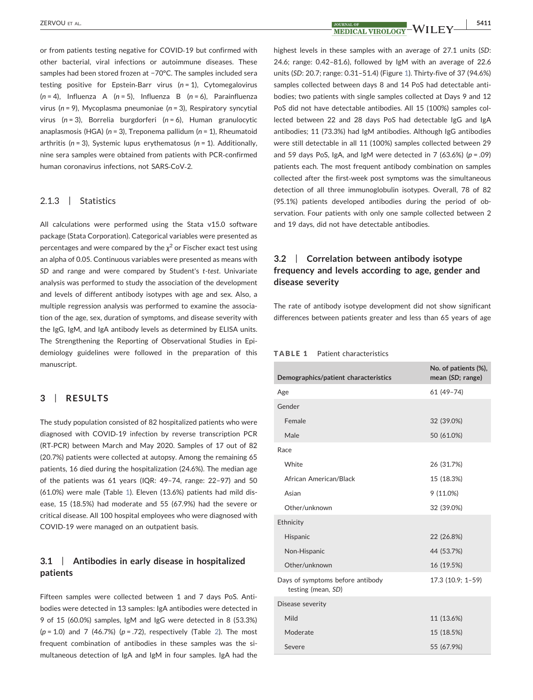or from patients testing negative for COVID‐19 but confirmed with other bacterial, viral infections or autoimmune diseases. These samples had been stored frozen at −70°C. The samples included sera testing positive for Epstein-Barr virus  $(n = 1)$ , Cytomegalovirus  $(n = 4)$ , Influenza A  $(n = 5)$ , Influenza B  $(n = 6)$ , Parainfluenza virus ( $n = 9$ ), Mycoplasma pneumoniae ( $n = 3$ ), Respiratory syncytial virus ( $n = 3$ ), Borrelia burgdorferi ( $n = 6$ ), Human granulocytic anaplasmosis (HGA) ( $n = 3$ ), Treponema pallidum ( $n = 1$ ), Rheumatoid arthritis ( $n = 3$ ), Systemic lupus erythematosus ( $n = 1$ ). Additionally, nine sera samples were obtained from patients with PCR‐confirmed human coronavirus infections, not SARS‐CoV‐2.

## 2.1.3 | Statistics

All calculations were performed using the Stata v15.0 software package (Stata Corporation). Categorical variables were presented as percentages and were compared by the  $\chi^2$  or Fischer exact test using an alpha of 0.05. Continuous variables were presented as means with SD and range and were compared by Student's t-test. Univariate analysis was performed to study the association of the development and levels of different antibody isotypes with age and sex. Also, a multiple regression analysis was performed to examine the association of the age, sex, duration of symptoms, and disease severity with the IgG, IgM, and IgA antibody levels as determined by ELISA units. The Strengthening the Reporting of Observational Studies in Epidemiology guidelines were followed in the preparation of this manuscript.

# 3 | RESULTS

The study population consisted of 82 hospitalized patients who were diagnosed with COVID‐19 infection by reverse transcription PCR (RT‐PCR) between March and May 2020. Samples of 17 out of 82 (20.7%) patients were collected at autopsy. Among the remaining 65 patients, 16 died during the hospitalization (24.6%). The median age of the patients was 61 years (IQR: 49–74, range: 22–97) and 50 (61.0%) were male (Table [1](#page-2-0)). Eleven (13.6%) patients had mild disease, 15 (18.5%) had moderate and 55 (67.9%) had the severe or critical disease. All 100 hospital employees who were diagnosed with COVID‐19 were managed on an outpatient basis.

## 3.1 | Antibodies in early disease in hospitalized patients

Fifteen samples were collected between 1 and 7 days PoS. Antibodies were detected in 13 samples: IgA antibodies were detected in 9 of 15 (60.0%) samples, IgM and IgG were detected in 8 (53.3%)  $(p = 1.0)$  and 7 (46.7%) ( $p = .72$  $p = .72$ ), respectively (Table 2). The most frequent combination of antibodies in these samples was the simultaneous detection of IgA and IgM in four samples. IgA had the

ZERVOU ET AL. | 5411

highest levels in these samples with an average of 27.1 units (SD: 24.6; range: 0.42–81.6), followed by IgM with an average of 22.6 units (SD: 20.7; range: 0.31–51.4) (Figure [1\)](#page-3-1). Thirty‐five of 37 (94.6%) samples collected between days 8 and 14 PoS had detectable antibodies; two patients with single samples collected at Days 9 and 12 PoS did not have detectable antibodies. All 15 (100%) samples collected between 22 and 28 days PoS had detectable IgG and IgA antibodies; 11 (73.3%) had IgM antibodies. Although IgG antibodies were still detectable in all 11 (100%) samples collected between 29 and 59 days PoS, IgA, and IgM were detected in 7 (63.6%) ( $p = .09$ ) patients each. The most frequent antibody combination on samples collected after the first‐week post symptoms was the simultaneous detection of all three immunoglobulin isotypes. Overall, 78 of 82 (95.1%) patients developed antibodies during the period of observation. Four patients with only one sample collected between 2 and 19 days, did not have detectable antibodies.

# 3.2 | Correlation between antibody isotype frequency and levels according to age, gender and disease severity

The rate of antibody isotype development did not show significant differences between patients greater and less than 65 years of age

#### <span id="page-2-0"></span>TABLE 1 Patient characteristics

| Demographics/patient characteristics                   | No. of patients (%),<br>mean (SD; range) |  |  |
|--------------------------------------------------------|------------------------------------------|--|--|
| Age                                                    | 61 (49-74)                               |  |  |
| Gender                                                 |                                          |  |  |
| Female                                                 | 32 (39.0%)                               |  |  |
| Male                                                   | 50 (61.0%)                               |  |  |
| Race                                                   |                                          |  |  |
| White                                                  | 26 (31.7%)                               |  |  |
| African American/Black                                 | 15 (18.3%)                               |  |  |
| Asian                                                  | 9(11.0%)                                 |  |  |
| Other/unknown                                          | 32 (39.0%)                               |  |  |
| Ethnicity                                              |                                          |  |  |
| Hispanic                                               | 22 (26.8%)                               |  |  |
| Non-Hispanic                                           | 44 (53.7%)                               |  |  |
| Other/unknown                                          | 16 (19.5%)                               |  |  |
| Days of symptoms before antibody<br>testing (mean, SD) | 17.3 (10.9; 1-59)                        |  |  |
| Disease severity                                       |                                          |  |  |
| Mild                                                   | 11 (13.6%)                               |  |  |
| Moderate                                               | 15 (18.5%)                               |  |  |
| Severe                                                 | 55 (67.9%)                               |  |  |
|                                                        |                                          |  |  |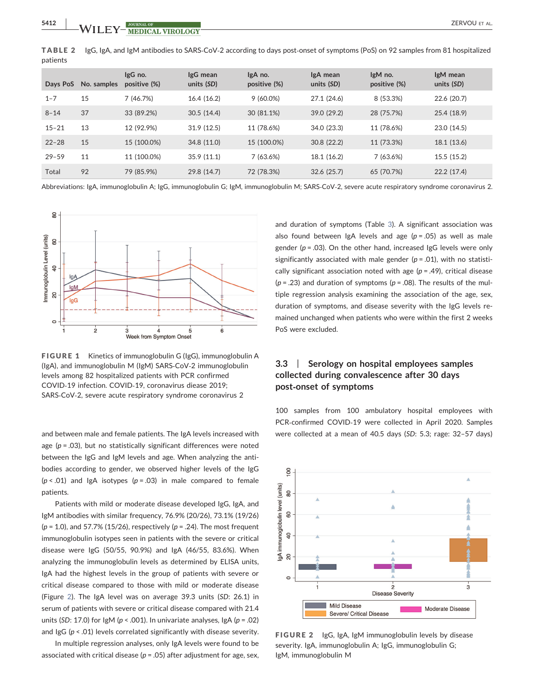<span id="page-3-0"></span>TABLE 2 IgG, IgA, and IgM antibodies to SARS‐CoV‐2 according to days post‐onset of symptoms (PoS) on 92 samples from 81 hospitalized patients

| Days PoS  | No. samples | IgG no.<br>positive (%) | IgG mean<br>units (SD) | IgA no.<br>positive (%) | IgA mean<br>units (SD) | IgM no.<br>positive (%) | IgM mean<br>units (SD) |
|-----------|-------------|-------------------------|------------------------|-------------------------|------------------------|-------------------------|------------------------|
| $1 - 7$   | 15          | 7 (46.7%)               | 16.4(16.2)             | $9(60.0\%)$             | 27.1 (24.6)            | 8 (53.3%)               | 22.6 (20.7)            |
| $8 - 14$  | 37          | 33 (89.2%)              | 30.5(14.4)             | 30 (81.1%)              | 39.0 (29.2)            | 28 (75.7%)              | 25.4 (18.9)            |
| $15 - 21$ | 13          | 12 (92.9%)              | 31.9(12.5)             | 11 (78.6%)              | 34.0(23.3)             | 11 (78.6%)              | 23.0 (14.5)            |
| $22 - 28$ | 15          | 15 (100.0%)             | 34.8 (11.0)            | 15 (100.0%)             | 30.8(22.2)             | 11 (73.3%)              | 18.1 (13.6)            |
| $29 - 59$ | 11          | 11 (100.0%)             | 35.9(11.1)             | 7 (63.6%)               | 18.1 (16.2)            | 7 (63.6%)               | 15.5(15.2)             |
| Total     | 92          | 79 (85.9%)              | 29.8 (14.7)            | 72 (78.3%)              | 32.6(25.7)             | 65 (70.7%)              | 22.2(17.4)             |

Abbreviations: IgA, immunoglobulin A; IgG, immunoglobulin G; IgM, immunoglobulin M; SARS‐CoV‐2, severe acute respiratory syndrome coronavirus 2.

<span id="page-3-1"></span>

FIGURE 1 Kinetics of immunoglobulin G (IgG), immunoglobulin A (IgA), and immunoglobulin M (IgM) SARS‐CoV‐2 immunoglobulin levels among 82 hospitalized patients with PCR confirmed COVID‐19 infection. COVID‐19, coronavirus diease 2019; SARS‐CoV‐2, severe acute respiratory syndrome coronavirus 2

and between male and female patients. The IgA levels increased with age ( $p = .03$ ), but no statistically significant differences were noted between the IgG and IgM levels and age. When analyzing the antibodies according to gender, we observed higher levels of the IgG  $(p < .01)$  and IgA isotypes  $(p = .03)$  in male compared to female patients.

Patients with mild or moderate disease developed IgG, IgA, and IgM antibodies with similar frequency, 76.9% (20/26), 73.1% (19/26)  $(p = 1.0)$ , and 57.7% (15/26), respectively  $(p = .24)$ . The most frequent immunoglobulin isotypes seen in patients with the severe or critical disease were IgG (50/55, 90.9%) and IgA (46/55, 83.6%). When analyzing the immunoglobulin levels as determined by ELISA units, IgA had the highest levels in the group of patients with severe or critical disease compared to those with mild or moderate disease (Figure [2\)](#page-3-2). The IgA level was on average 39.3 units (SD: 26.1) in serum of patients with severe or critical disease compared with 21.4 units (SD: 17.0) for IgM ( $p < .001$ ). In univariate analyses, IgA ( $p = .02$ ) and IgG ( $p < .01$ ) levels correlated significantly with disease severity.

In multiple regression analyses, only IgA levels were found to be associated with critical disease ( $p = .05$ ) after adjustment for age, sex, and duration of symptoms (Table [3](#page-4-0)). A significant association was also found between IgA levels and age  $(p=.05)$  as well as male gender ( $p = .03$ ). On the other hand, increased IgG levels were only significantly associated with male gender ( $p = .01$ ), with no statistically significant association noted with age ( $p = .49$ ), critical disease ( $p = .23$ ) and duration of symptoms ( $p = .08$ ). The results of the multiple regression analysis examining the association of the age, sex, duration of symptoms, and disease severity with the IgG levels remained unchanged when patients who were within the first 2 weeks PoS were excluded.

# 3.3 | Serology on hospital employees samples collected during convalescence after 30 days post‐onset of symptoms

100 samples from 100 ambulatory hospital employees with PCR‐confirmed COVID‐19 were collected in April 2020. Samples were collected at a mean of 40.5 days (SD: 5.3; rage: 32–57 days)

<span id="page-3-2"></span>

FIGURE 2 IgG, IgA, IgM immunoglobulin levels by disease severity. IgA, immunoglobulin A; IgG, immunoglobulin G; IgM, immunoglobulin M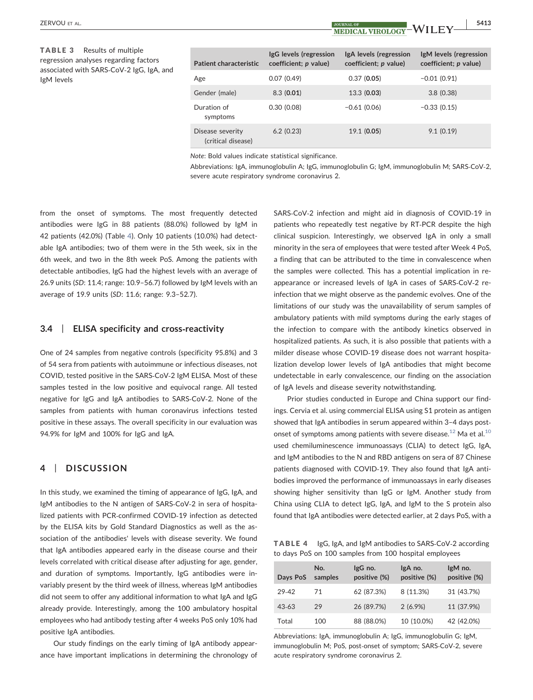<span id="page-4-0"></span>TABLE 3 Results of multiple regression analyses regarding factors associated with SARS‐CoV‐2 IgG, IgA, and IgM levels

| Patient characteristic                 | IgG levels (regression<br>coefficient; p value) | IgA levels (regression<br>coefficient; p value) | IgM levels (regression<br>coefficient; p value) |
|----------------------------------------|-------------------------------------------------|-------------------------------------------------|-------------------------------------------------|
| Age                                    | 0.07(0.49)                                      | 0.37(0.05)                                      | $-0.01(0.91)$                                   |
| Gender (male)                          | 8.3(0.01)                                       | 13.3 (0.03)                                     | 3.8(0.38)                                       |
| Duration of<br>symptoms                | 0.30(0.08)                                      | $-0.61(0.06)$                                   | $-0.33(0.15)$                                   |
| Disease severity<br>(critical disease) | 6.2(0.23)                                       | 19.1 (0.05)                                     | 9.1(0.19)                                       |

Note: Bold values indicate statistical significance.

Abbreviations: IgA, immunoglobulin A; IgG, immunoglobulin G; IgM, immunoglobulin M; SARS‐CoV‐2, severe acute respiratory syndrome coronavirus 2.

from the onset of symptoms. The most frequently detected antibodies were IgG in 88 patients (88.0%) followed by IgM in 42 patients (42.0%) (Table [4](#page-4-1)). Only 10 patients (10.0%) had detectable IgA antibodies; two of them were in the 5th week, six in the 6th week, and two in the 8th week PoS. Among the patients with detectable antibodies, IgG had the highest levels with an average of 26.9 units (SD: 11.4; range: 10.9–56.7) followed by IgM levels with an average of 19.9 units (SD: 11.6; range: 9.3–52.7).

## 3.4 | ELISA specificity and cross-reactivity

One of 24 samples from negative controls (specificity 95.8%) and 3 of 54 sera from patients with autoimmune or infectious diseases, not COVID, tested positive in the SARS‐CoV‐2 IgM ELISA. Most of these samples tested in the low positive and equivocal range. All tested negative for IgG and IgA antibodies to SARS‐CoV‐2. None of the samples from patients with human coronavirus infections tested positive in these assays. The overall specificity in our evaluation was 94.9% for IgM and 100% for IgG and IgA.

## 4 | DISCUSSION

In this study, we examined the timing of appearance of IgG, IgA, and IgM antibodies to the N antigen of SARS‐CoV‐2 in sera of hospitalized patients with PCR‐confirmed COVID‐19 infection as detected by the ELISA kits by Gold Standard Diagnostics as well as the association of the antibodies' levels with disease severity. We found that IgA antibodies appeared early in the disease course and their levels correlated with critical disease after adjusting for age, gender, and duration of symptoms. Importantly, IgG antibodies were invariably present by the third week of illness, whereas IgM antibodies did not seem to offer any additional information to what IgA and IgG already provide. Interestingly, among the 100 ambulatory hospital employees who had antibody testing after 4 weeks PoS only 10% had positive IgA antibodies.

Our study findings on the early timing of IgA antibody appearance have important implications in determining the chronology of SARS‐CoV‐2 infection and might aid in diagnosis of COVID‐19 in patients who repeatedly test negative by RT‐PCR despite the high clinical suspicion. Interestingly, we observed IgA in only a small minority in the sera of employees that were tested after Week 4 PoS, a finding that can be attributed to the time in convalescence when the samples were collected. This has a potential implication in reappearance or increased levels of IgA in cases of SARS‐CoV‐2 reinfection that we might observe as the pandemic evolves. One of the limitations of our study was the unavailability of serum samples of ambulatory patients with mild symptoms during the early stages of the infection to compare with the antibody kinetics observed in hospitalized patients. As such, it is also possible that patients with a milder disease whose COVID‐19 disease does not warrant hospitalization develop lower levels of IgA antibodies that might become undetectable in early convalescence, our finding on the association of IgA levels and disease severity notwithstanding.

Prior studies conducted in Europe and China support our findings. Cervia et al. using commercial ELISA using S1 protein as antigen showed that IgA antibodies in serum appeared within 3-4 days post-onset of symptoms among patients with severe disease.<sup>[12](#page-6-8)</sup> Ma et al.<sup>[10](#page-6-6)</sup> used chemiluminescence immunoassays (CLIA) to detect IgG, IgA, and IgM antibodies to the N and RBD antigens on sera of 87 Chinese patients diagnosed with COVID‐19. They also found that IgA antibodies improved the performance of immunoassays in early diseases showing higher sensitivity than IgG or IgM. Another study from China using CLIA to detect IgG, IgA, and IgM to the S protein also found that IgA antibodies were detected earlier, at 2 days PoS, with a

<span id="page-4-1"></span>TABLE 4 IgG, IgA, and IgM antibodies to SARS‐CoV‐2 according to days PoS on 100 samples from 100 hospital employees

| Days PoS | No.<br>samples | IgG no.<br>positive (%) | IgA no.<br>positive (%) | IgM no.<br>positive (%) |
|----------|----------------|-------------------------|-------------------------|-------------------------|
| $29-42$  | 71             | 62 (87.3%)              | 8 (11.3%)               | 31 (43.7%)              |
| 43-63    | 29             | 26 (89.7%)              | $2(6.9\%)$              | 11 (37.9%)              |
| Total    | 100            | 88 (88.0%)              | 10 (10.0%)              | 42 (42.0%)              |

Abbreviations: IgA, immunoglobulin A; IgG, immunoglobulin G; IgM, immunoglobulin M; PoS, post‐onset of symptom; SARS‐CoV‐2, severe acute respiratory syndrome coronavirus 2.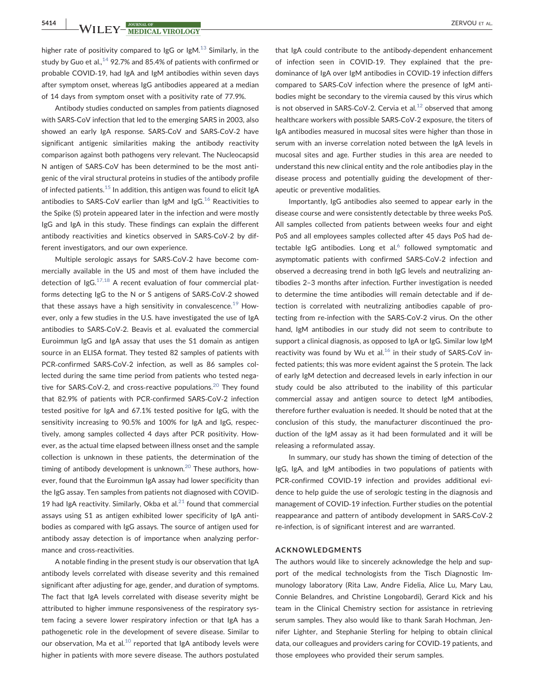**5414 | WILEY MEDICAL VIROLOGY ZERVOU ET AL.** 

higher rate of positivity compared to  $\lg G$  or  $\lg M$ .<sup>[13](#page-6-9)</sup> Similarly, in the study by Guo et al., $^{14}$  92.7% and 85.4% of patients with confirmed or probable COVID‐19, had IgA and IgM antibodies within seven days after symptom onset, whereas IgG antibodies appeared at a median of 14 days from symptom onset with a positivity rate of 77.9%.

Antibody studies conducted on samples from patients diagnosed with SARS‐CoV infection that led to the emerging SARS in 2003, also showed an early IgA response. SARS‐CoV and SARS‐CoV‐2 have significant antigenic similarities making the antibody reactivity comparison against both pathogens very relevant. The Nucleocapsid N antigen of SARS‐CoV has been determined to be the most antigenic of the viral structural proteins in studies of the antibody profile of infected patients.<sup>[15](#page-6-11)</sup> In addition, this antigen was found to elicit IgA antibodies to SARS-CoV earlier than IgM and IgG. $^{16}$  $^{16}$  $^{16}$  Reactivities to the Spike (S) protein appeared later in the infection and were mostly IgG and IgA in this study. These findings can explain the different antibody reactivities and kinetics observed in SARS‐CoV‐2 by different investigators, and our own experience.

Multiple serologic assays for SARS‐CoV‐2 have become commercially available in the US and most of them have included the detection of  $\text{lgG.}^{17,18}$  $\text{lgG.}^{17,18}$  $\text{lgG.}^{17,18}$  A recent evaluation of four commercial platforms detecting IgG to the N or S antigens of SARS‐CoV‐2 showed that these assays have a high sensitivity in convalescence.<sup>[19](#page-6-14)</sup> However, only a few studies in the U.S. have investigated the use of IgA antibodies to SARS‐CoV‐2. Beavis et al. evaluated the commercial Euroimmun IgG and IgA assay that uses the S1 domain as antigen source in an ELISA format. They tested 82 samples of patients with PCR‐confirmed SARS‐CoV‐2 infection, as well as 86 samples collected during the same time period from patients who tested nega-tive for SARS-CoV-2, and cross-reactive populations.<sup>[20](#page-6-15)</sup> They found that 82.9% of patients with PCR‐confirmed SARS‐CoV‐2 infection tested positive for IgA and 67.1% tested positive for IgG, with the sensitivity increasing to 90.5% and 100% for IgA and IgG, respectively, among samples collected 4 days after PCR positivity. However, as the actual time elapsed between illness onset and the sample collection is unknown in these patients, the determination of the timing of antibody development is unknown. $^{20}$  These authors, however, found that the Euroimmun IgA assay had lower specificity than the IgG assay. Ten samples from patients not diagnosed with COVID‐ 19 had IgA reactivity. Similarly, Okba et al. $^{21}$  found that commercial assays using S1 as antigen exhibited lower specificity of IgA antibodies as compared with IgG assays. The source of antigen used for antibody assay detection is of importance when analyzing performance and cross‐reactivities.

A notable finding in the present study is our observation that IgA antibody levels correlated with disease severity and this remained significant after adjusting for age, gender, and duration of symptoms. The fact that IgA levels correlated with disease severity might be attributed to higher immune responsiveness of the respiratory system facing a severe lower respiratory infection or that IgA has a pathogenetic role in the development of severe disease. Similar to our observation, Ma et al. $^{10}$  $^{10}$  $^{10}$  reported that IgA antibody levels were higher in patients with more severe disease. The authors postulated that IgA could contribute to the antibody‐dependent enhancement of infection seen in COVID‐19. They explained that the predominance of IgA over IgM antibodies in COVID‐19 infection differs compared to SARS‐CoV infection where the presence of IgM antibodies might be secondary to the viremia caused by this virus which is not observed in SARS-CoV-2. Cervia et al. $^{12}$  $^{12}$  $^{12}$  observed that among healthcare workers with possible SARS‐CoV‐2 exposure, the titers of IgA antibodies measured in mucosal sites were higher than those in serum with an inverse correlation noted between the IgA levels in mucosal sites and age. Further studies in this area are needed to understand this new clinical entity and the role antibodies play in the disease process and potentially guiding the development of therapeutic or preventive modalities.

Importantly, IgG antibodies also seemed to appear early in the disease course and were consistently detectable by three weeks PoS. All samples collected from patients between weeks four and eight PoS and all employees samples collected after 45 days PoS had detectable IgG antibodies. Long et al. $6$  followed symptomatic and asymptomatic patients with confirmed SARS‐CoV‐2 infection and observed a decreasing trend in both IgG levels and neutralizing antibodies 2–3 months after infection. Further investigation is needed to determine the time antibodies will remain detectable and if detection is correlated with neutralizing antibodies capable of protecting from re‐infection with the SARS‐CoV‐2 virus. On the other hand, IgM antibodies in our study did not seem to contribute to support a clinical diagnosis, as opposed to IgA or IgG. Similar low IgM reactivity was found by Wu et al. $^{16}$  in their study of SARS-CoV infected patients; this was more evident against the S protein. The lack of early IgM detection and decreased levels in early infection in our study could be also attributed to the inability of this particular commercial assay and antigen source to detect IgM antibodies, therefore further evaluation is needed. It should be noted that at the conclusion of this study, the manufacturer discontinued the production of the IgM assay as it had been formulated and it will be releasing a reformulated assay.

In summary, our study has shown the timing of detection of the IgG, IgA, and IgM antibodies in two populations of patients with PCR-confirmed COVID-19 infection and provides additional evidence to help guide the use of serologic testing in the diagnosis and management of COVID‐19 infection. Further studies on the potential reappearance and pattern of antibody development in SARS‐CoV‐2 re‐infection, is of significant interest and are warranted.

#### ACKNOWLEDGMENTS

The authors would like to sincerely acknowledge the help and support of the medical technologists from the Tisch Diagnostic Immunology laboratory (Rita Law, Andre Fidelia, Alice Lu, Mary Lau, Connie Belandres, and Christine Longobardi), Gerard Kick and his team in the Clinical Chemistry section for assistance in retrieving serum samples. They also would like to thank Sarah Hochman, Jennifer Lighter, and Stephanie Sterling for helping to obtain clinical data, our colleagues and providers caring for COVID‐19 patients, and those employees who provided their serum samples.